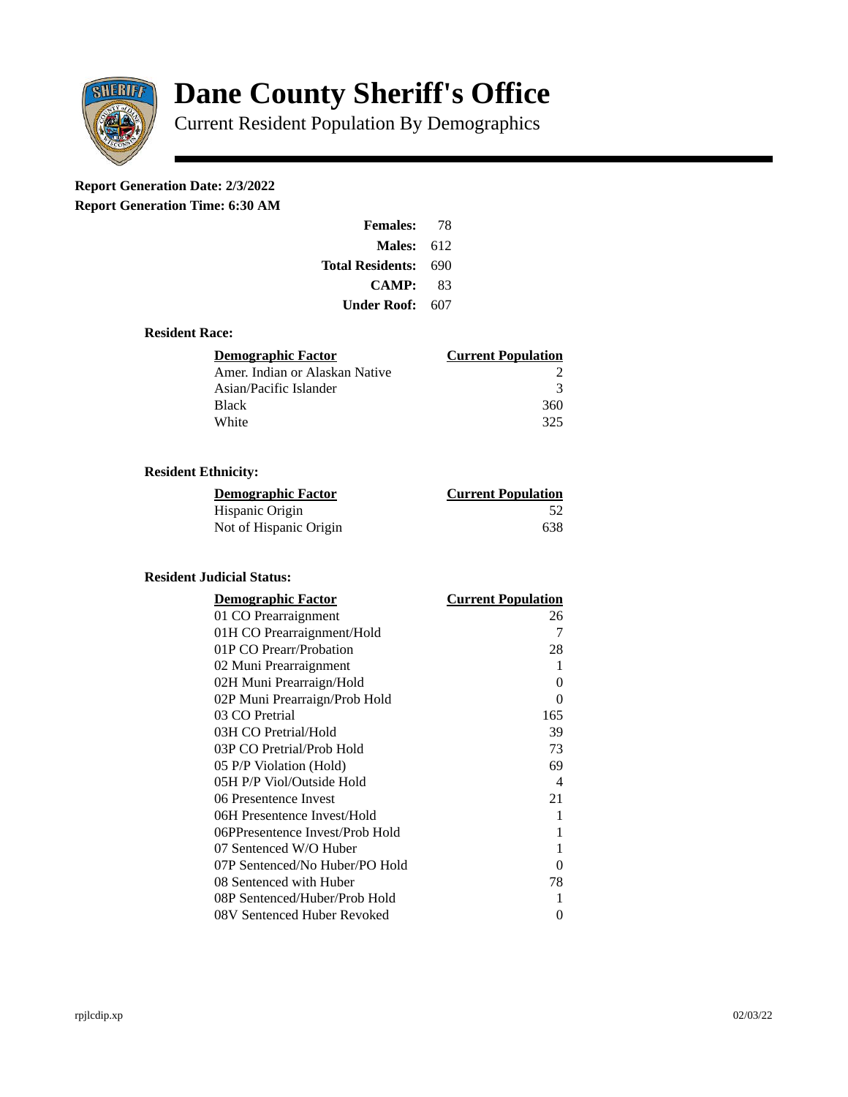

# **Dane County Sheriff's Office**

Current Resident Population By Demographics

## **Report Generation Date: 2/3/2022**

**Report Generation Time: 6:30 AM** 

| <b>Females:</b>         | 78  |  |
|-------------------------|-----|--|
| Males:                  | 612 |  |
| <b>Total Residents:</b> | 690 |  |
| CAMP:                   | 83  |  |
| Under Roof: -           | 607 |  |

#### **Resident Race:**

| Demographic Factor             | <b>Current Population</b> |
|--------------------------------|---------------------------|
| Amer. Indian or Alaskan Native |                           |
| Asian/Pacific Islander         | २                         |
| <b>Black</b>                   | 360                       |
| White                          | 325                       |

### **Resident Ethnicity:**

| <u>Demographic Factor</u> | <u>Current Population</u> |
|---------------------------|---------------------------|
| Hispanic Origin           | -52                       |
| Not of Hispanic Origin    | 638                       |

#### **Resident Judicial Status:**

| <b>Demographic Factor</b>       | <b>Current Population</b> |
|---------------------------------|---------------------------|
| 01 CO Prearraignment            | 26                        |
| 01H CO Prearraignment/Hold      | 7                         |
| 01P CO Prearr/Probation         | 28                        |
| 02 Muni Prearraignment          | 1                         |
| 02H Muni Prearraign/Hold        | 0                         |
| 02P Muni Prearraign/Prob Hold   | 0                         |
| 03 CO Pretrial                  | 165                       |
| 03H CO Pretrial/Hold            | 39                        |
| 03P CO Pretrial/Prob Hold       | 73                        |
| 05 P/P Violation (Hold)         | 69                        |
| 05H P/P Viol/Outside Hold       | $\overline{\mathcal{A}}$  |
| 06 Presentence Invest           | 21                        |
| 06H Presentence Invest/Hold     | 1                         |
| 06PPresentence Invest/Prob Hold | 1                         |
| 07 Sentenced W/O Huber          | 1                         |
| 07P Sentenced/No Huber/PO Hold  | 0                         |
| 08 Sentenced with Huber         | 78                        |
| 08P Sentenced/Huber/Prob Hold   | 1                         |
| 08V Sentenced Huber Revoked     | 0                         |